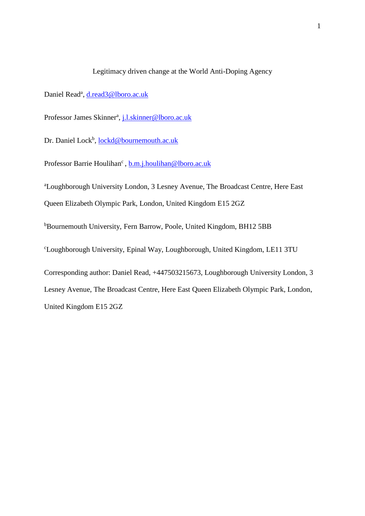# Legitimacy driven change at the World Anti-Doping Agency

Daniel Read<sup>a</sup>, [d.read3@lboro.ac.uk](mailto:d.read3@lboro.ac.uk)

Professor James Skinner<sup>a</sup>, [j.l.skinner@lboro.ac.uk](mailto:j.l.skinner@lboro.ac.uk)

Dr. Daniel Lock<sup>b</sup>, **lockd@bournemouth.ac.uk** 

Professor Barrie Houlihan<sup>c</sup>, **b.m.j.houlihan@lboro.ac.uk** 

<sup>a</sup>Loughborough University London, 3 Lesney Avenue, The Broadcast Centre, Here East Queen Elizabeth Olympic Park, London, United Kingdom E15 2GZ

<sup>b</sup>Bournemouth University, Fern Barrow, Poole, United Kingdom, BH12 5BB

<sup>c</sup>Loughborough University, Epinal Way, Loughborough, United Kingdom, LE11 3TU

Corresponding author: Daniel Read, +447503215673, Loughborough University London, 3 Lesney Avenue, The Broadcast Centre, Here East Queen Elizabeth Olympic Park, London, United Kingdom E15 2GZ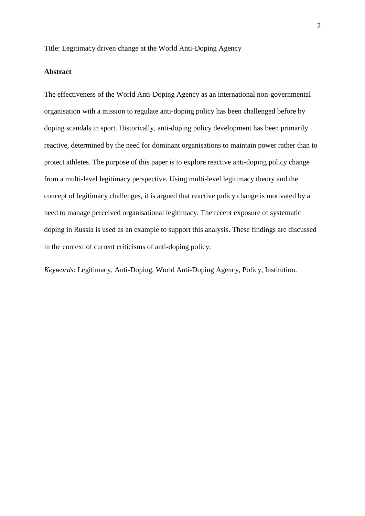Title: Legitimacy driven change at the World Anti-Doping Agency

# **Abstract**

The effectiveness of the World Anti-Doping Agency as an international non-governmental organisation with a mission to regulate anti-doping policy has been challenged before by doping scandals in sport. Historically, anti-doping policy development has been primarily reactive, determined by the need for dominant organisations to maintain power rather than to protect athletes. The purpose of this paper is to explore reactive anti-doping policy change from a multi-level legitimacy perspective. Using multi-level legitimacy theory and the concept of legitimacy challenges, it is argued that reactive policy change is motivated by a need to manage perceived organisational legitimacy. The recent exposure of systematic doping in Russia is used as an example to support this analysis. These findings are discussed in the context of current criticisms of anti-doping policy.

*Keywords*: Legitimacy, Anti-Doping, World Anti-Doping Agency, Policy, Institution.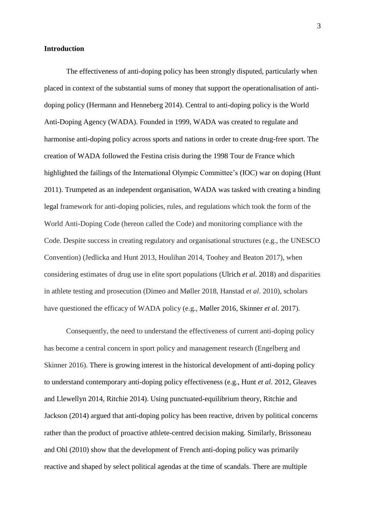#### **Introduction**

The effectiveness of anti-doping policy has been strongly disputed, particularly when placed in context of the substantial sums of money that support the operationalisation of antidoping policy (Hermann and Henneberg 2014). Central to anti-doping policy is the World Anti-Doping Agency (WADA). Founded in 1999, WADA was created to regulate and harmonise anti-doping policy across sports and nations in order to create drug-free sport. The creation of WADA followed the Festina crisis during the 1998 Tour de France which highlighted the failings of the International Olympic Committee's (IOC) war on doping (Hunt 2011). Trumpeted as an independent organisation, WADA was tasked with creating a binding legal framework for anti-doping policies, rules, and regulations which took the form of the World Anti-Doping Code (hereon called the Code) and monitoring compliance with the Code. Despite success in creating regulatory and organisational structures (e.g., the UNESCO Convention) (Jedlicka and Hunt 2013, Houlihan 2014, Toohey and Beaton 2017), when considering estimates of drug use in elite sport populations (Ulrich *et al*. 2018) and disparities in athlete testing and prosecution (Dimeo and Møller 2018, Hanstad *et al*. 2010), scholars have questioned the efficacy of WADA policy (e.g., Møller 2016, Skinner *et al*. 2017).

Consequently, the need to understand the effectiveness of current anti-doping policy has become a central concern in sport policy and management research (Engelberg and Skinner 2016). There is growing interest in the historical development of anti-doping policy to understand contemporary anti-doping policy effectiveness (e.g., Hunt *et al*. 2012, Gleaves and Llewellyn 2014, Ritchie 2014). Using punctuated-equilibrium theory, Ritchie and Jackson (2014) argued that anti-doping policy has been reactive, driven by political concerns rather than the product of proactive athlete-centred decision making. Similarly, Brissoneau and Ohl (2010) show that the development of French anti-doping policy was primarily reactive and shaped by select political agendas at the time of scandals. There are multiple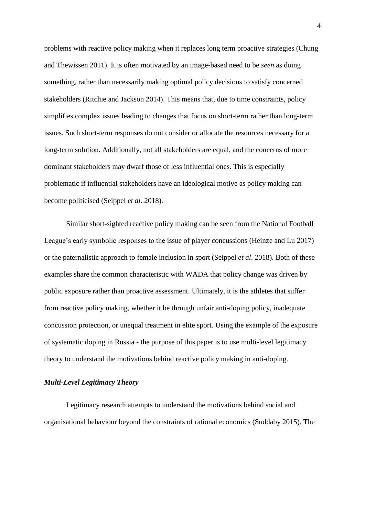problems with reactive policy making when it replaces long term proactive strategies (Chung and Thewissen 2011). It is often motivated by an image-based need to be *seen* as doing something, rather than necessarily making optimal policy decisions to satisfy concerned stakeholders (Ritchie and Jackson 2014). This means that, due to time constraints, policy simplifies complex issues leading to changes that focus on short-term rather than long-term issues. Such short-term responses do not consider or allocate the resources necessary for a long-term solution. Additionally, not all stakeholders are equal, and the concerns of more dominant stakeholders may dwarf those of less influential ones. This is especially problematic if influential stakeholders have an ideological motive as policy making can become politicised (Seippel *et al*. 2018).

Similar short-sighted reactive policy making can be seen from the National Football League's early symbolic responses to the issue of player concussions (Heinze and Lu 2017) or the paternalistic approach to female inclusion in sport (Seippel *et al*. 2018). Both of these examples share the common characteristic with WADA that policy change was driven by public exposure rather than proactive assessment. Ultimately, it is the athletes that suffer from reactive policy making, whether it be through unfair anti-doping policy, inadequate concussion protection, or unequal treatment in elite sport. Using the example of the exposure of systematic doping in Russia - the purpose of this paper is to use multi-level legitimacy theory to understand the motivations behind reactive policy making in anti-doping.

### *Multi-Level Legitimacy Theory*

Legitimacy research attempts to understand the motivations behind social and organisational behaviour beyond the constraints of rational economics (Suddaby 2015). The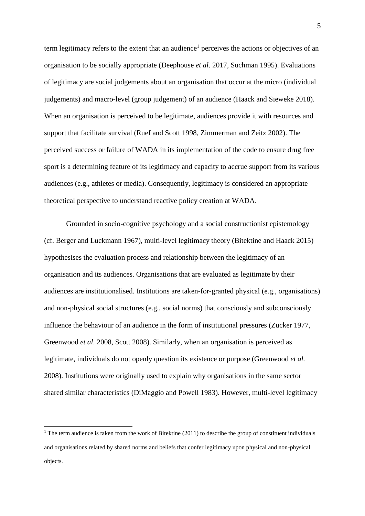term legitimacy refers to the extent that an audience<sup>1</sup> perceives the actions or objectives of an organisation to be socially appropriate (Deephouse *et al*. 2017, Suchman 1995). Evaluations of legitimacy are social judgements about an organisation that occur at the micro (individual judgements) and macro-level (group judgement) of an audience (Haack and Sieweke 2018). When an organisation is perceived to be legitimate, audiences provide it with resources and support that facilitate survival (Ruef and Scott 1998, Zimmerman and Zeitz 2002). The perceived success or failure of WADA in its implementation of the code to ensure drug free sport is a determining feature of its legitimacy and capacity to accrue support from its various audiences (e.g., athletes or media). Consequently, legitimacy is considered an appropriate theoretical perspective to understand reactive policy creation at WADA.

Grounded in socio-cognitive psychology and a social constructionist epistemology (cf. Berger and Luckmann 1967), multi-level legitimacy theory (Bitektine and Haack 2015) hypothesises the evaluation process and relationship between the legitimacy of an organisation and its audiences. Organisations that are evaluated as legitimate by their audiences are institutionalised. Institutions are taken-for-granted physical (e.g., organisations) and non-physical social structures (e.g., social norms) that consciously and subconsciously influence the behaviour of an audience in the form of institutional pressures (Zucker 1977, Greenwood *et al*. 2008, Scott 2008). Similarly, when an organisation is perceived as legitimate, individuals do not openly question its existence or purpose (Greenwood *et al.* 2008). Institutions were originally used to explain why organisations in the same sector shared similar characteristics (DiMaggio and Powell 1983). However, multi-level legitimacy

1

<sup>&</sup>lt;sup>1</sup> The term audience is taken from the work of Bitektine (2011) to describe the group of constituent individuals and organisations related by shared norms and beliefs that confer legitimacy upon physical and non-physical objects.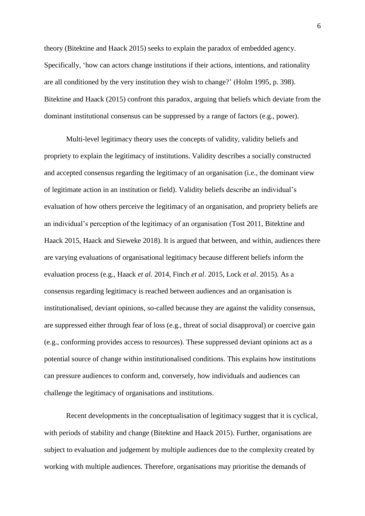theory (Bitektine and Haack 2015) seeks to explain the paradox of embedded agency. Specifically, 'how can actors change institutions if their actions, intentions, and rationality are all conditioned by the very institution they wish to change?' (Holm 1995, p. 398). Bitektine and Haack (2015) confront this paradox, arguing that beliefs which deviate from the dominant institutional consensus can be suppressed by a range of factors (e.g., power).

Multi-level legitimacy theory uses the concepts of validity, validity beliefs and propriety to explain the legitimacy of institutions. Validity describes a socially constructed and accepted consensus regarding the legitimacy of an organisation (i.e., the dominant view of legitimate action in an institution or field). Validity beliefs describe an individual's evaluation of how others perceive the legitimacy of an organisation, and propriety beliefs are an individual's perception of the legitimacy of an organisation (Tost 2011, Bitektine and Haack 2015, Haack and Sieweke 2018). It is argued that between, and within, audiences there are varying evaluations of organisational legitimacy because different beliefs inform the evaluation process (e.g., Haack *et al.* 2014, Finch *et al*. 2015, Lock *et al*. 2015). As a consensus regarding legitimacy is reached between audiences and an organisation is institutionalised, deviant opinions, so-called because they are against the validity consensus, are suppressed either through fear of loss (e.g., threat of social disapproval) or coercive gain (e.g., conforming provides access to resources). These suppressed deviant opinions act as a potential source of change within institutionalised conditions. This explains how institutions can pressure audiences to conform and, conversely, how individuals and audiences can challenge the legitimacy of organisations and institutions.

Recent developments in the conceptualisation of legitimacy suggest that it is cyclical, with periods of stability and change (Bitektine and Haack 2015). Further, organisations are subject to evaluation and judgement by multiple audiences due to the complexity created by working with multiple audiences. Therefore, organisations may prioritise the demands of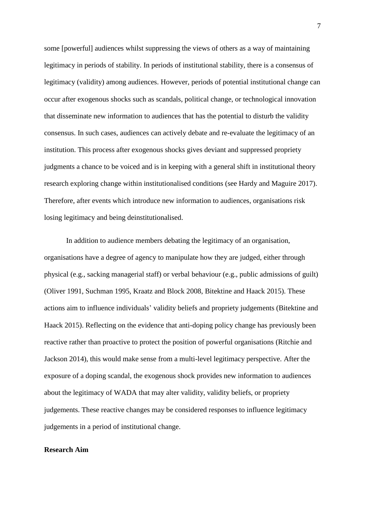some [powerful] audiences whilst suppressing the views of others as a way of maintaining legitimacy in periods of stability. In periods of institutional stability, there is a consensus of legitimacy (validity) among audiences. However, periods of potential institutional change can occur after exogenous shocks such as scandals, political change, or technological innovation that disseminate new information to audiences that has the potential to disturb the validity consensus. In such cases, audiences can actively debate and re-evaluate the legitimacy of an institution. This process after exogenous shocks gives deviant and suppressed propriety judgments a chance to be voiced and is in keeping with a general shift in institutional theory research exploring change within institutionalised conditions (see Hardy and Maguire 2017). Therefore, after events which introduce new information to audiences, organisations risk losing legitimacy and being deinstitutionalised.

In addition to audience members debating the legitimacy of an organisation, organisations have a degree of agency to manipulate how they are judged, either through physical (e.g., sacking managerial staff) or verbal behaviour (e.g., public admissions of guilt) (Oliver 1991, Suchman 1995, Kraatz and Block 2008, Bitektine and Haack 2015). These actions aim to influence individuals' validity beliefs and propriety judgements (Bitektine and Haack 2015). Reflecting on the evidence that anti-doping policy change has previously been reactive rather than proactive to protect the position of powerful organisations (Ritchie and Jackson 2014), this would make sense from a multi-level legitimacy perspective. After the exposure of a doping scandal, the exogenous shock provides new information to audiences about the legitimacy of WADA that may alter validity, validity beliefs, or propriety judgements. These reactive changes may be considered responses to influence legitimacy judgements in a period of institutional change.

#### **Research Aim**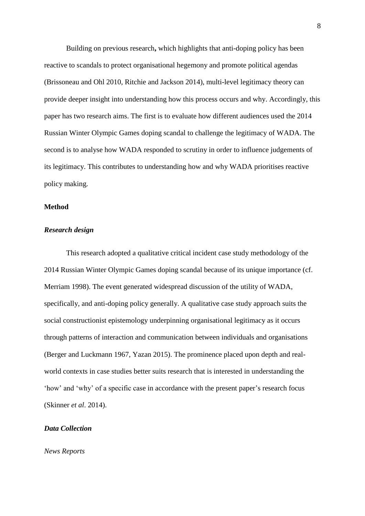Building on previous research**,** which highlights that anti-doping policy has been reactive to scandals to protect organisational hegemony and promote political agendas (Brissoneau and Ohl 2010, Ritchie and Jackson 2014), multi-level legitimacy theory can provide deeper insight into understanding how this process occurs and why. Accordingly, this paper has two research aims. The first is to evaluate how different audiences used the 2014 Russian Winter Olympic Games doping scandal to challenge the legitimacy of WADA. The second is to analyse how WADA responded to scrutiny in order to influence judgements of its legitimacy. This contributes to understanding how and why WADA prioritises reactive policy making.

# **Method**

#### *Research design*

This research adopted a qualitative critical incident case study methodology of the 2014 Russian Winter Olympic Games doping scandal because of its unique importance (cf. Merriam 1998). The event generated widespread discussion of the utility of WADA, specifically, and anti-doping policy generally. A qualitative case study approach suits the social constructionist epistemology underpinning organisational legitimacy as it occurs through patterns of interaction and communication between individuals and organisations (Berger and Luckmann 1967, Yazan 2015). The prominence placed upon depth and realworld contexts in case studies better suits research that is interested in understanding the 'how' and 'why' of a specific case in accordance with the present paper's research focus (Skinner *et al*. 2014).

## *Data Collection*

*News Reports*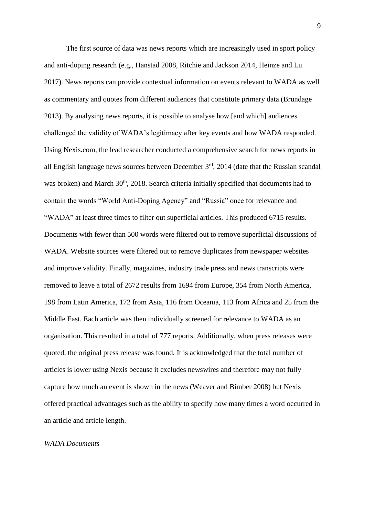The first source of data was news reports which are increasingly used in sport policy and anti-doping research (e.g., Hanstad 2008, Ritchie and Jackson 2014, Heinze and Lu 2017). News reports can provide contextual information on events relevant to WADA as well as commentary and quotes from different audiences that constitute primary data (Brundage 2013). By analysing news reports, it is possible to analyse how [and which] audiences challenged the validity of WADA's legitimacy after key events and how WADA responded. Using Nexis.com, the lead researcher conducted a comprehensive search for news reports in all English language news sources between December 3<sup>rd</sup>, 2014 (date that the Russian scandal was broken) and March 30<sup>th</sup>, 2018. Search criteria initially specified that documents had to contain the words "World Anti-Doping Agency" and "Russia" once for relevance and "WADA" at least three times to filter out superficial articles. This produced 6715 results. Documents with fewer than 500 words were filtered out to remove superficial discussions of WADA. Website sources were filtered out to remove duplicates from newspaper websites and improve validity. Finally, magazines, industry trade press and news transcripts were removed to leave a total of 2672 results from 1694 from Europe, 354 from North America, 198 from Latin America, 172 from Asia, 116 from Oceania, 113 from Africa and 25 from the Middle East. Each article was then individually screened for relevance to WADA as an organisation. This resulted in a total of 777 reports. Additionally, when press releases were quoted, the original press release was found. It is acknowledged that the total number of articles is lower using Nexis because it excludes newswires and therefore may not fully capture how much an event is shown in the news (Weaver and Bimber 2008) but Nexis offered practical advantages such as the ability to specify how many times a word occurred in an article and article length.

#### *WADA Documents*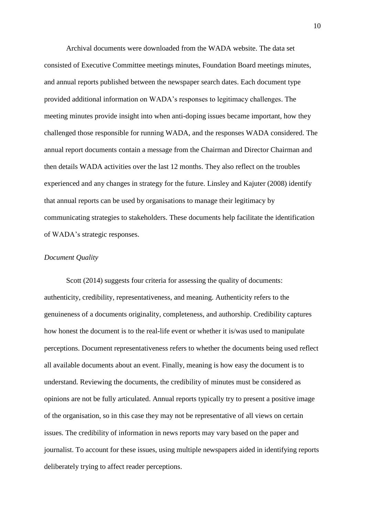Archival documents were downloaded from the WADA website. The data set consisted of Executive Committee meetings minutes, Foundation Board meetings minutes, and annual reports published between the newspaper search dates. Each document type provided additional information on WADA's responses to legitimacy challenges. The meeting minutes provide insight into when anti-doping issues became important, how they challenged those responsible for running WADA, and the responses WADA considered. The annual report documents contain a message from the Chairman and Director Chairman and then details WADA activities over the last 12 months. They also reflect on the troubles experienced and any changes in strategy for the future. Linsley and Kajuter (2008) identify that annual reports can be used by organisations to manage their legitimacy by communicating strategies to stakeholders. These documents help facilitate the identification of WADA's strategic responses.

### *Document Quality*

Scott (2014) suggests four criteria for assessing the quality of documents: authenticity, credibility, representativeness, and meaning. Authenticity refers to the genuineness of a documents originality, completeness, and authorship. Credibility captures how honest the document is to the real-life event or whether it is/was used to manipulate perceptions. Document representativeness refers to whether the documents being used reflect all available documents about an event. Finally, meaning is how easy the document is to understand. Reviewing the documents, the credibility of minutes must be considered as opinions are not be fully articulated. Annual reports typically try to present a positive image of the organisation, so in this case they may not be representative of all views on certain issues. The credibility of information in news reports may vary based on the paper and journalist. To account for these issues, using multiple newspapers aided in identifying reports deliberately trying to affect reader perceptions.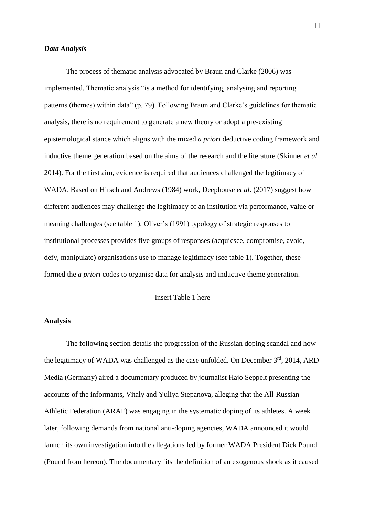#### *Data Analysis*

The process of thematic analysis advocated by Braun and Clarke (2006) was implemented. Thematic analysis "is a method for identifying, analysing and reporting patterns (themes) within data" (p. 79). Following Braun and Clarke's guidelines for thematic analysis, there is no requirement to generate a new theory or adopt a pre-existing epistemological stance which aligns with the mixed *a priori* deductive coding framework and inductive theme generation based on the aims of the research and the literature (Skinner *et al.* 2014). For the first aim, evidence is required that audiences challenged the legitimacy of WADA. Based on Hirsch and Andrews (1984) work, Deephouse *et al*. (2017) suggest how different audiences may challenge the legitimacy of an institution via performance, value or meaning challenges (see table 1). Oliver's (1991) typology of strategic responses to institutional processes provides five groups of responses (acquiesce, compromise, avoid, defy, manipulate) organisations use to manage legitimacy (see table 1). Together, these formed the *a priori* codes to organise data for analysis and inductive theme generation.

------- Insert Table 1 here -------

# **Analysis**

The following section details the progression of the Russian doping scandal and how the legitimacy of WADA was challenged as the case unfolded. On December  $3<sup>rd</sup>$ , 2014, ARD Media (Germany) aired a documentary produced by journalist Hajo Seppelt presenting the accounts of the informants, Vitaly and Yuliya Stepanova, alleging that the All-Russian Athletic Federation (ARAF) was engaging in the systematic doping of its athletes. A week later, following demands from national anti-doping agencies, WADA announced it would launch its own investigation into the allegations led by former WADA President Dick Pound (Pound from hereon). The documentary fits the definition of an exogenous shock as it caused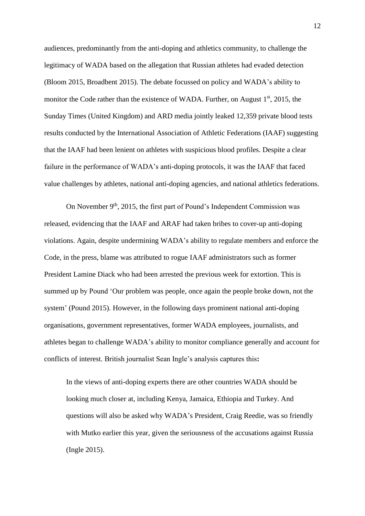audiences, predominantly from the anti-doping and athletics community, to challenge the legitimacy of WADA based on the allegation that Russian athletes had evaded detection (Bloom 2015, Broadbent 2015). The debate focussed on policy and WADA's ability to monitor the Code rather than the existence of WADA. Further, on August  $1<sup>st</sup>$ , 2015, the Sunday Times (United Kingdom) and ARD media jointly leaked 12,359 private blood tests results conducted by the International Association of Athletic Federations (IAAF) suggesting that the IAAF had been lenient on athletes with suspicious blood profiles. Despite a clear failure in the performance of WADA's anti-doping protocols, it was the IAAF that faced value challenges by athletes, national anti-doping agencies, and national athletics federations.

On November 9<sup>th</sup>, 2015, the first part of Pound's Independent Commission was released, evidencing that the IAAF and ARAF had taken bribes to cover-up anti-doping violations. Again, despite undermining WADA's ability to regulate members and enforce the Code, in the press, blame was attributed to rogue IAAF administrators such as former President Lamine Diack who had been arrested the previous week for extortion. This is summed up by Pound 'Our problem was people, once again the people broke down, not the system' (Pound 2015). However, in the following days prominent national anti-doping organisations, government representatives, former WADA employees, journalists, and athletes began to challenge WADA's ability to monitor compliance generally and account for conflicts of interest. British journalist Sean Ingle's analysis captures this**:**

In the views of anti-doping experts there are other countries WADA should be looking much closer at, including Kenya, Jamaica, Ethiopia and Turkey. And questions will also be asked why WADA's President, Craig Reedie, was so friendly with Mutko earlier this year, given the seriousness of the accusations against Russia (Ingle 2015).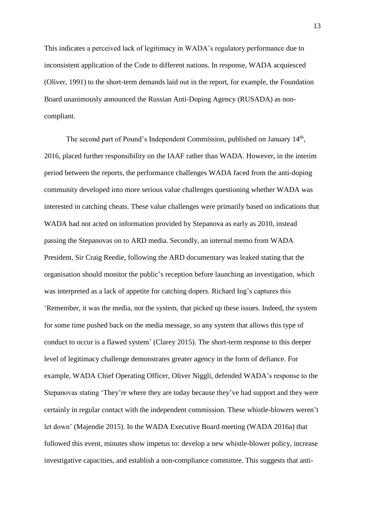This indicates a perceived lack of legitimacy in WADA's regulatory performance due to inconsistent application of the Code to different nations. In response, WADA acquiesced (Oliver, 1991) to the short-term demands laid out in the report, for example, the Foundation Board unanimously announced the Russian Anti-Doping Agency (RUSADA) as noncompliant.

The second part of Pound's Independent Commission, published on January 14<sup>th</sup>, 2016, placed further responsibility on the IAAF rather than WADA. However, in the interim period between the reports, the performance challenges WADA faced from the anti-doping community developed into more serious value challenges questioning whether WADA was interested in catching cheats. These value challenges were primarily based on indications that WADA had not acted on information provided by Stepanova as early as 2010, instead passing the Stepanovas on to ARD media. Secondly, an internal memo from WADA President, Sir Craig Reedie, following the ARD documentary was leaked stating that the organisation should monitor the public's reception before launching an investigation, which was interpreted as a lack of appetite for catching dopers. Richard Ing's captures this 'Remember, it was the media, not the system, that picked up these issues. Indeed, the system for some time pushed back on the media message, so any system that allows this type of conduct to occur is a flawed system' (Clarey 2015). The short-term response to this deeper level of legitimacy challenge demonstrates greater agency in the form of defiance. For example, WADA Chief Operating Officer, Oliver Niggli, defended WADA's response to the Stepanovas stating 'They're where they are today because they've had support and they were certainly in regular contact with the independent commission. These whistle-blowers weren't let down' (Majendie 2015). In the WADA Executive Board meeting (WADA 2016a) that followed this event, minutes show impetus to: develop a new whistle-blower policy, increase investigative capacities, and establish a non-compliance committee. This suggests that anti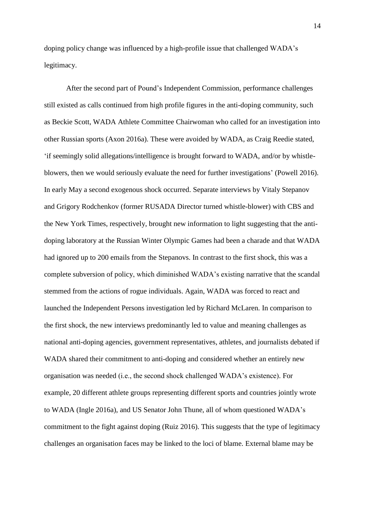doping policy change was influenced by a high-profile issue that challenged WADA's legitimacy.

After the second part of Pound's Independent Commission, performance challenges still existed as calls continued from high profile figures in the anti-doping community, such as Beckie Scott, WADA Athlete Committee Chairwoman who called for an investigation into other Russian sports (Axon 2016a). These were avoided by WADA, as Craig Reedie stated, 'if seemingly solid allegations/intelligence is brought forward to WADA, and/or by whistleblowers, then we would seriously evaluate the need for further investigations' (Powell 2016). In early May a second exogenous shock occurred. Separate interviews by Vitaly Stepanov and Grigory Rodchenkov (former RUSADA Director turned whistle-blower) with CBS and the New York Times, respectively, brought new information to light suggesting that the antidoping laboratory at the Russian Winter Olympic Games had been a charade and that WADA had ignored up to 200 emails from the Stepanovs. In contrast to the first shock, this was a complete subversion of policy, which diminished WADA's existing narrative that the scandal stemmed from the actions of rogue individuals. Again, WADA was forced to react and launched the Independent Persons investigation led by Richard McLaren. In comparison to the first shock, the new interviews predominantly led to value and meaning challenges as national anti-doping agencies, government representatives, athletes, and journalists debated if WADA shared their commitment to anti-doping and considered whether an entirely new organisation was needed (i.e., the second shock challenged WADA's existence). For example, 20 different athlete groups representing different sports and countries jointly wrote to WADA (Ingle 2016a), and US Senator John Thune, all of whom questioned WADA's commitment to the fight against doping (Ruiz 2016). This suggests that the type of legitimacy challenges an organisation faces may be linked to the loci of blame. External blame may be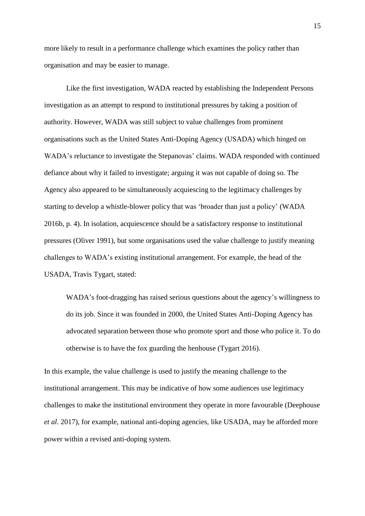more likely to result in a performance challenge which examines the policy rather than organisation and may be easier to manage.

Like the first investigation, WADA reacted by establishing the Independent Persons investigation as an attempt to respond to institutional pressures by taking a position of authority. However, WADA was still subject to value challenges from prominent organisations such as the United States Anti-Doping Agency (USADA) which hinged on WADA's reluctance to investigate the Stepanovas' claims. WADA responded with continued defiance about why it failed to investigate; arguing it was not capable of doing so. The Agency also appeared to be simultaneously acquiescing to the legitimacy challenges by starting to develop a whistle-blower policy that was 'broader than just a policy' (WADA 2016b, p. 4). In isolation, acquiescence should be a satisfactory response to institutional pressures (Oliver 1991), but some organisations used the value challenge to justify meaning challenges to WADA's existing institutional arrangement. For example, the head of the USADA, Travis Tygart, stated:

WADA's foot-dragging has raised serious questions about the agency's willingness to do its job. Since it was founded in 2000, the United States Anti-Doping Agency has advocated separation between those who promote sport and those who police it. To do otherwise is to have the fox guarding the henhouse (Tygart 2016).

In this example, the value challenge is used to justify the meaning challenge to the institutional arrangement. This may be indicative of how some audiences use legitimacy challenges to make the institutional environment they operate in more favourable (Deephouse *et al*. 2017), for example, national anti-doping agencies, like USADA, may be afforded more power within a revised anti-doping system.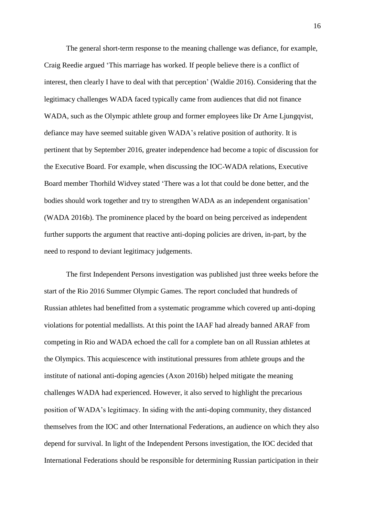The general short-term response to the meaning challenge was defiance, for example, Craig Reedie argued 'This marriage has worked. If people believe there is a conflict of interest, then clearly I have to deal with that perception' (Waldie 2016). Considering that the legitimacy challenges WADA faced typically came from audiences that did not finance WADA, such as the Olympic athlete group and former employees like Dr Arne Ljungqvist, defiance may have seemed suitable given WADA's relative position of authority. It is pertinent that by September 2016, greater independence had become a topic of discussion for the Executive Board. For example, when discussing the IOC-WADA relations, Executive Board member Thorhild Widvey stated 'There was a lot that could be done better, and the bodies should work together and try to strengthen WADA as an independent organisation' (WADA 2016b). The prominence placed by the board on being perceived as independent further supports the argument that reactive anti-doping policies are driven, in-part, by the need to respond to deviant legitimacy judgements.

The first Independent Persons investigation was published just three weeks before the start of the Rio 2016 Summer Olympic Games. The report concluded that hundreds of Russian athletes had benefitted from a systematic programme which covered up anti-doping violations for potential medallists. At this point the IAAF had already banned ARAF from competing in Rio and WADA echoed the call for a complete ban on all Russian athletes at the Olympics. This acquiescence with institutional pressures from athlete groups and the institute of national anti-doping agencies (Axon 2016b) helped mitigate the meaning challenges WADA had experienced. However, it also served to highlight the precarious position of WADA's legitimacy. In siding with the anti-doping community, they distanced themselves from the IOC and other International Federations, an audience on which they also depend for survival. In light of the Independent Persons investigation, the IOC decided that International Federations should be responsible for determining Russian participation in their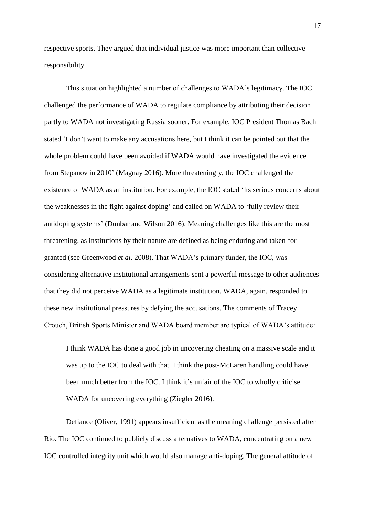respective sports. They argued that individual justice was more important than collective responsibility.

This situation highlighted a number of challenges to WADA's legitimacy. The IOC challenged the performance of WADA to regulate compliance by attributing their decision partly to WADA not investigating Russia sooner. For example, IOC President Thomas Bach stated 'I don't want to make any accusations here, but I think it can be pointed out that the whole problem could have been avoided if WADA would have investigated the evidence from Stepanov in 2010' (Magnay 2016). More threateningly, the IOC challenged the existence of WADA as an institution. For example, the IOC stated 'Its serious concerns about the weaknesses in the fight against doping' and called on WADA to 'fully review their antidoping systems' (Dunbar and Wilson 2016). Meaning challenges like this are the most threatening, as institutions by their nature are defined as being enduring and taken-forgranted (see Greenwood *et al*. 2008). That WADA's primary funder, the IOC, was considering alternative institutional arrangements sent a powerful message to other audiences that they did not perceive WADA as a legitimate institution. WADA, again, responded to these new institutional pressures by defying the accusations. The comments of Tracey Crouch, British Sports Minister and WADA board member are typical of WADA's attitude:

I think WADA has done a good job in uncovering cheating on a massive scale and it was up to the IOC to deal with that. I think the post-McLaren handling could have been much better from the IOC. I think it's unfair of the IOC to wholly criticise WADA for uncovering everything (Ziegler 2016).

Defiance (Oliver, 1991) appears insufficient as the meaning challenge persisted after Rio. The IOC continued to publicly discuss alternatives to WADA, concentrating on a new IOC controlled integrity unit which would also manage anti-doping. The general attitude of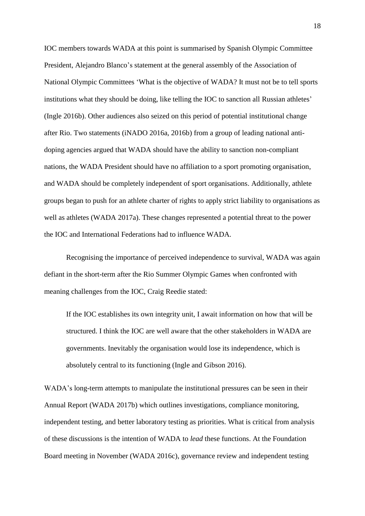IOC members towards WADA at this point is summarised by Spanish Olympic Committee President, Alejandro Blanco's statement at the general assembly of the Association of National Olympic Committees 'What is the objective of WADA? It must not be to tell sports institutions what they should be doing, like telling the IOC to sanction all Russian athletes' (Ingle 2016b). Other audiences also seized on this period of potential institutional change after Rio. Two statements (iNADO 2016a, 2016b) from a group of leading national antidoping agencies argued that WADA should have the ability to sanction non-compliant nations, the WADA President should have no affiliation to a sport promoting organisation, and WADA should be completely independent of sport organisations. Additionally, athlete groups began to push for an athlete charter of rights to apply strict liability to organisations as well as athletes (WADA 2017a). These changes represented a potential threat to the power the IOC and International Federations had to influence WADA.

Recognising the importance of perceived independence to survival, WADA was again defiant in the short-term after the Rio Summer Olympic Games when confronted with meaning challenges from the IOC, Craig Reedie stated:

If the IOC establishes its own integrity unit, I await information on how that will be structured. I think the IOC are well aware that the other stakeholders in WADA are governments. Inevitably the organisation would lose its independence, which is absolutely central to its functioning (Ingle and Gibson 2016).

WADA's long-term attempts to manipulate the institutional pressures can be seen in their Annual Report (WADA 2017b) which outlines investigations, compliance monitoring, independent testing, and better laboratory testing as priorities. What is critical from analysis of these discussions is the intention of WADA to *lead* these functions. At the Foundation Board meeting in November (WADA 2016c), governance review and independent testing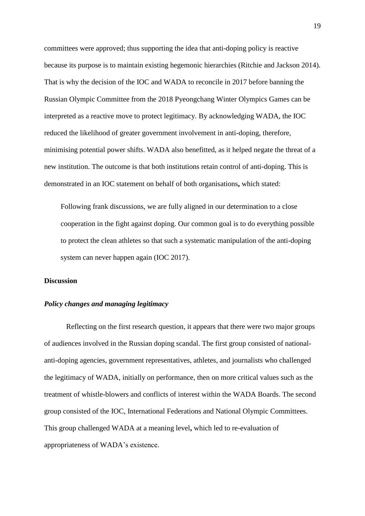committees were approved; thus supporting the idea that anti-doping policy is reactive because its purpose is to maintain existing hegemonic hierarchies (Ritchie and Jackson 2014). That is why the decision of the IOC and WADA to reconcile in 2017 before banning the Russian Olympic Committee from the 2018 Pyeongchang Winter Olympics Games can be interpreted as a reactive move to protect legitimacy. By acknowledging WADA, the IOC reduced the likelihood of greater government involvement in anti-doping, therefore, minimising potential power shifts. WADA also benefitted, as it helped negate the threat of a new institution. The outcome is that both institutions retain control of anti-doping. This is demonstrated in an IOC statement on behalf of both organisations**,** which stated:

Following frank discussions, we are fully aligned in our determination to a close cooperation in the fight against doping. Our common goal is to do everything possible to protect the clean athletes so that such a systematic manipulation of the anti-doping system can never happen again (IOC 2017).

# **Discussion**

# *Policy changes and managing legitimacy*

Reflecting on the first research question, it appears that there were two major groups of audiences involved in the Russian doping scandal. The first group consisted of nationalanti-doping agencies, government representatives, athletes, and journalists who challenged the legitimacy of WADA, initially on performance, then on more critical values such as the treatment of whistle-blowers and conflicts of interest within the WADA Boards. The second group consisted of the IOC, International Federations and National Olympic Committees. This group challenged WADA at a meaning level**,** which led to re-evaluation of appropriateness of WADA's existence.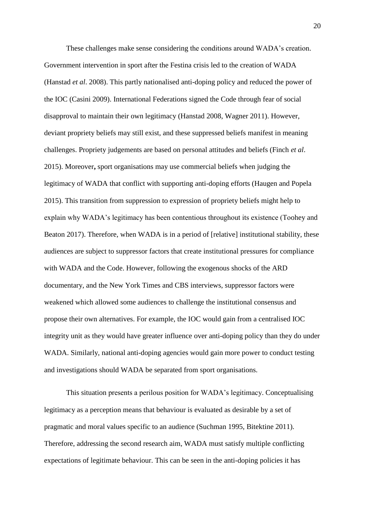These challenges make sense considering the conditions around WADA's creation. Government intervention in sport after the Festina crisis led to the creation of WADA (Hanstad *et al*. 2008). This partly nationalised anti-doping policy and reduced the power of the IOC (Casini 2009). International Federations signed the Code through fear of social disapproval to maintain their own legitimacy (Hanstad 2008, Wagner 2011). However, deviant propriety beliefs may still exist, and these suppressed beliefs manifest in meaning challenges. Propriety judgements are based on personal attitudes and beliefs (Finch *et al*. 2015). Moreover**,** sport organisations may use commercial beliefs when judging the legitimacy of WADA that conflict with supporting anti-doping efforts (Haugen and Popela 2015). This transition from suppression to expression of propriety beliefs might help to explain why WADA's legitimacy has been contentious throughout its existence (Toohey and Beaton 2017). Therefore, when WADA is in a period of [relative] institutional stability, these audiences are subject to suppressor factors that create institutional pressures for compliance with WADA and the Code. However, following the exogenous shocks of the ARD documentary, and the New York Times and CBS interviews, suppressor factors were weakened which allowed some audiences to challenge the institutional consensus and propose their own alternatives. For example, the IOC would gain from a centralised IOC integrity unit as they would have greater influence over anti-doping policy than they do under WADA. Similarly, national anti-doping agencies would gain more power to conduct testing and investigations should WADA be separated from sport organisations.

This situation presents a perilous position for WADA's legitimacy. Conceptualising legitimacy as a perception means that behaviour is evaluated as desirable by a set of pragmatic and moral values specific to an audience (Suchman 1995, Bitektine 2011). Therefore, addressing the second research aim, WADA must satisfy multiple conflicting expectations of legitimate behaviour. This can be seen in the anti-doping policies it has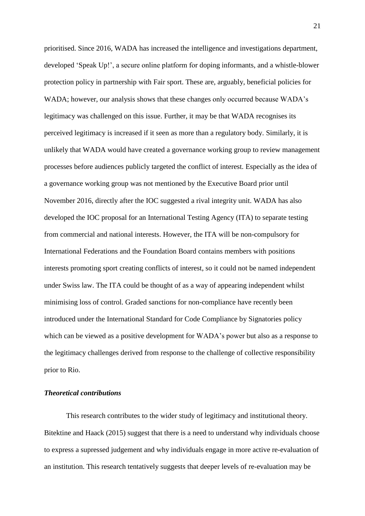prioritised. Since 2016, WADA has increased the intelligence and investigations department, developed 'Speak Up!', a secure online platform for doping informants, and a whistle-blower protection policy in partnership with Fair sport. These are, arguably, beneficial policies for WADA; however, our analysis shows that these changes only occurred because WADA's legitimacy was challenged on this issue. Further, it may be that WADA recognises its perceived legitimacy is increased if it seen as more than a regulatory body. Similarly, it is unlikely that WADA would have created a governance working group to review management processes before audiences publicly targeted the conflict of interest. Especially as the idea of a governance working group was not mentioned by the Executive Board prior until November 2016, directly after the IOC suggested a rival integrity unit. WADA has also developed the IOC proposal for an International Testing Agency (ITA) to separate testing from commercial and national interests. However, the ITA will be non-compulsory for International Federations and the Foundation Board contains members with positions interests promoting sport creating conflicts of interest, so it could not be named independent under Swiss law. The ITA could be thought of as a way of appearing independent whilst minimising loss of control. Graded sanctions for non-compliance have recently been introduced under the International Standard for Code Compliance by Signatories policy which can be viewed as a positive development for WADA's power but also as a response to the legitimacy challenges derived from response to the challenge of collective responsibility prior to Rio.

# *Theoretical contributions*

This research contributes to the wider study of legitimacy and institutional theory. Bitektine and Haack (2015) suggest that there is a need to understand why individuals choose to express a supressed judgement and why individuals engage in more active re-evaluation of an institution. This research tentatively suggests that deeper levels of re-evaluation may be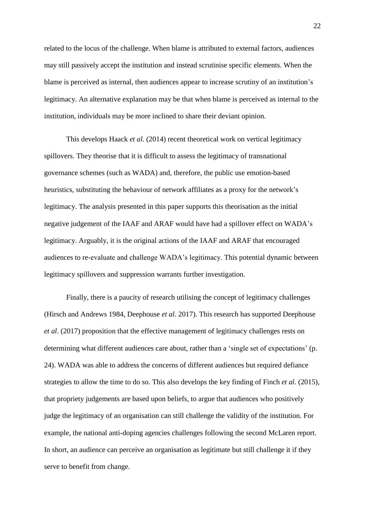related to the locus of the challenge. When blame is attributed to external factors, audiences may still passively accept the institution and instead scrutinise specific elements. When the blame is perceived as internal, then audiences appear to increase scrutiny of an institution's legitimacy. An alternative explanation may be that when blame is perceived as internal to the institution, individuals may be more inclined to share their deviant opinion.

This develops Haack *et al.* (2014) recent theoretical work on vertical legitimacy spillovers. They theorise that it is difficult to assess the legitimacy of transnational governance schemes (such as WADA) and, therefore, the public use emotion-based heuristics, substituting the behaviour of network affiliates as a proxy for the network's legitimacy. The analysis presented in this paper supports this theorisation as the initial negative judgement of the IAAF and ARAF would have had a spillover effect on WADA's legitimacy. Arguably, it is the original actions of the IAAF and ARAF that encouraged audiences to re-evaluate and challenge WADA's legitimacy. This potential dynamic between legitimacy spillovers and suppression warrants further investigation.

Finally, there is a paucity of research utilising the concept of legitimacy challenges (Hirsch and Andrews 1984, Deephouse *et al*. 2017). This research has supported Deephouse *et al*. (2017) proposition that the effective management of legitimacy challenges rests on determining what different audiences care about, rather than a 'single set of expectations' (p. 24). WADA was able to address the concerns of different audiences but required defiance strategies to allow the time to do so. This also develops the key finding of Finch *et al*. (2015), that propriety judgements are based upon beliefs, to argue that audiences who positively judge the legitimacy of an organisation can still challenge the validity of the institution. For example, the national anti-doping agencies challenges following the second McLaren report. In short, an audience can perceive an organisation as legitimate but still challenge it if they serve to benefit from change.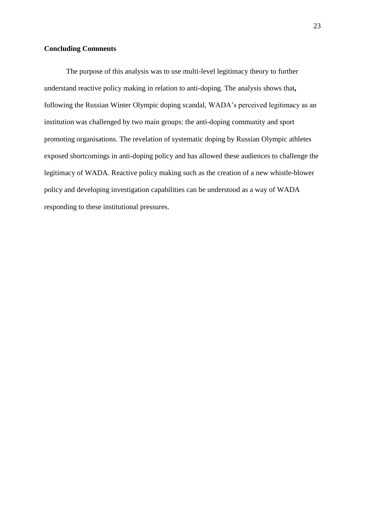# **Concluding Comments**

The purpose of this analysis was to use multi-level legitimacy theory to further understand reactive policy making in relation to anti-doping. The analysis shows that**,**  following the Russian Winter Olympic doping scandal, WADA's perceived legitimacy as an institution was challenged by two main groups: the anti-doping community and sport promoting organisations. The revelation of systematic doping by Russian Olympic athletes exposed shortcomings in anti-doping policy and has allowed these audiences to challenge the legitimacy of WADA. Reactive policy making such as the creation of a new whistle-blower policy and developing investigation capabilities can be understood as a way of WADA responding to these institutional pressures.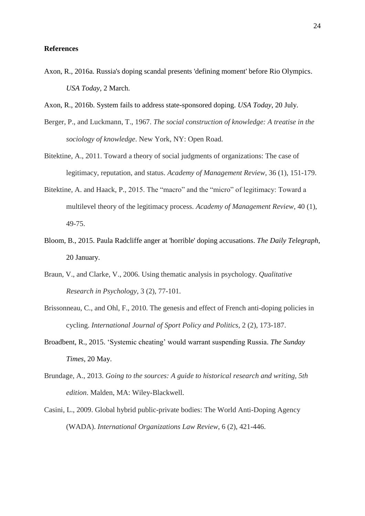#### **References**

- Axon, R., 2016a. Russia's doping scandal presents 'defining moment' before Rio Olympics. *USA Today*, 2 March.
- Axon, R., 2016b. System fails to address state-sponsored doping. *USA Today*, 20 July.
- Berger, P., and Luckmann, T., 1967. *The social construction of knowledge: A treatise in the sociology of knowledge*. New York, NY: Open Road.
- Bitektine, A., 2011. Toward a theory of social judgments of organizations: The case of legitimacy, reputation, and status. *Academy of Management Review*, 36 (1), 151-179.
- Bitektine, A. and Haack, P., 2015. The "macro" and the "micro" of legitimacy: Toward a multilevel theory of the legitimacy process. *Academy of Management Review*, 40 (1), 49-75.
- Bloom, B., 2015. Paula Radcliffe anger at 'horrible' doping accusations. *The Daily Telegraph*, 20 January.
- Braun, V., and Clarke, V., 2006. Using thematic analysis in psychology. *Qualitative Research in Psychology*, 3 (2), 77-101.
- Brissonneau, C., and Ohl, F., 2010. The genesis and effect of French anti-doping policies in cycling. *International Journal of Sport Policy and Politics*, 2 (2), 173-187.
- Broadbent, R., 2015. 'Systemic cheating' would warrant suspending Russia. *The Sunday Times*, 20 May.
- Brundage, A., 2013. *Going to the sources: A guide to historical research and writing, 5th edition*. Malden, MA: Wiley-Blackwell.
- Casini, L., 2009. Global hybrid public-private bodies: The World Anti-Doping Agency (WADA). *International Organizations Law Review*, 6 (2), 421-446.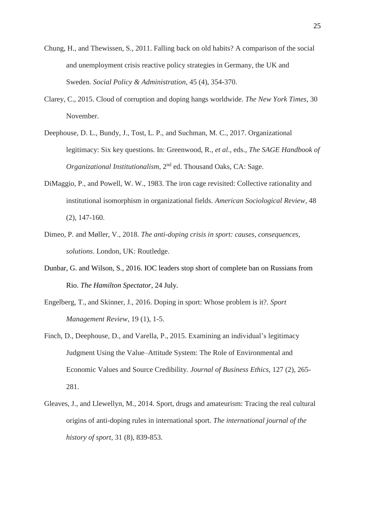- Chung, H., and Thewissen, S., 2011. Falling back on old habits? A comparison of the social and unemployment crisis reactive policy strategies in Germany, the UK and Sweden. *Social Policy & Administration*, 45 (4), 354-370.
- Clarey, C., 2015. Cloud of corruption and doping hangs worldwide. *The New York Times*, 30 November.
- Deephouse, D. L., Bundy, J., Tost, L. P., and Suchman, M. C., 2017. Organizational legitimacy: Six key questions. In: Greenwood, R., *et al*., eds., *The SAGE Handbook of*  Organizational Institutionalism, 2<sup>nd</sup> ed. Thousand Oaks, CA: Sage.
- DiMaggio, P., and Powell, W. W., 1983. The iron cage revisited: Collective rationality and institutional isomorphism in organizational fields. *American Sociological Review*, 48 (2), 147-160.
- Dimeo, P. and Møller, V., 2018. *The anti-doping crisis in sport: causes, consequences, solutions*. London, UK: Routledge.
- Dunbar, G. and Wilson, S., 2016. IOC leaders stop short of complete ban on Russians from Rio. *The Hamilton Spectator*, 24 July.
- Engelberg, T., and Skinner, J., 2016. Doping in sport: Whose problem is it?. *Sport Management Review*, 19 (1), 1-5.
- Finch, D., Deephouse, D., and Varella, P., 2015. Examining an individual's legitimacy Judgment Using the Value–Attitude System: The Role of Environmental and Economic Values and Source Credibility. *Journal of Business Ethics*, 127 (2), 265- 281.
- Gleaves, J., and Llewellyn, M., 2014. Sport, drugs and amateurism: Tracing the real cultural origins of anti-doping rules in international sport. *The international journal of the history of sport*, 31 (8), 839-853.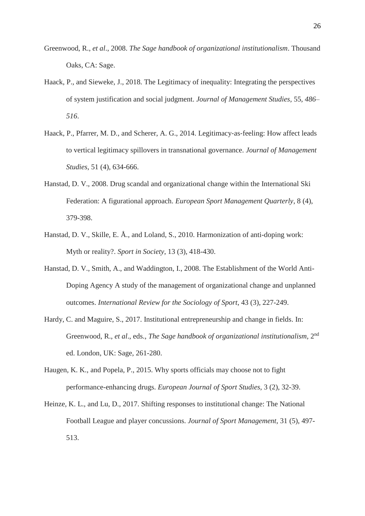- Greenwood, R., *et al*., 2008. *The Sage handbook of organizational institutionalism*. Thousand Oaks, CA: Sage.
- Haack, P., and Sieweke, J., 2018. The Legitimacy of inequality: Integrating the perspectives of system justification and social judgment. *Journal of Management Studies,* 55*, 486– 516*.
- Haack, P., Pfarrer, M. D., and Scherer, A. G., 2014. Legitimacy-as-feeling: How affect leads to vertical legitimacy spillovers in transnational governance. *Journal of Management Studies*, 51 (4), 634-666.
- Hanstad, D. V., 2008. Drug scandal and organizational change within the International Ski Federation: A figurational approach. *European Sport Management Quarterly*, 8 (4), 379-398.
- Hanstad, D. V., Skille, E. Å., and Loland, S., 2010. Harmonization of anti-doping work: Myth or reality?. *Sport in Society*, 13 (3), 418-430.
- Hanstad, D. V., Smith, A., and Waddington, I., 2008. The Establishment of the World Anti-Doping Agency A study of the management of organizational change and unplanned outcomes. *International Review for the Sociology of Sport*, 43 (3), 227-249.
- Hardy, C. and Maguire, S., 2017. Institutional entrepreneurship and change in fields. In: Greenwood, R., et al., eds., The Sage handbook of organizational institutionalism, 2<sup>nd</sup> ed. London, UK: Sage, 261-280.
- Haugen, K. K., and Popela, P., 2015. Why sports officials may choose not to fight performance-enhancing drugs. *European Journal of Sport Studies*, 3 (2), 32-39.
- Heinze, K. L., and Lu, D., 2017. Shifting responses to institutional change: The National Football League and player concussions. *Journal of Sport Management*, 31 (5), 497- 513.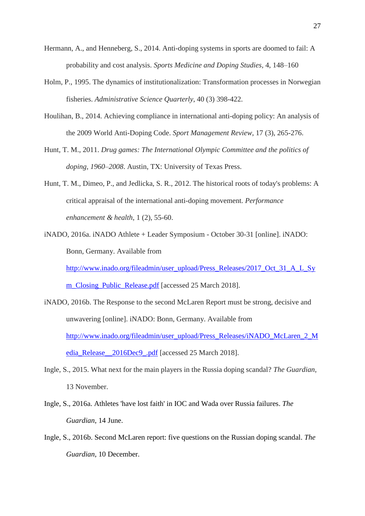- Hermann, A., and Henneberg, S., 2014. Anti-doping systems in sports are doomed to fail: A probability and cost analysis. *Sports Medicine and Doping Studies,* 4, 148–160
- Holm, P., 1995. The dynamics of institutionalization: Transformation processes in Norwegian fisheries. *Administrative Science Quarterly*, 40 (3) 398-422.
- Houlihan, B., 2014. Achieving compliance in international anti-doping policy: An analysis of the 2009 World Anti-Doping Code. *Sport Management Review*, 17 (3), 265-276.
- Hunt, T. M., 2011. *Drug games: The International Olympic Committee and the politics of doping, 1960–2008*. Austin, TX: University of Texas Press.
- Hunt, T. M., Dimeo, P., and Jedlicka, S. R., 2012. The historical roots of today's problems: A critical appraisal of the international anti-doping movement. *Performance enhancement & health*, 1 (2), 55-60.
- iNADO, 2016a. iNADO Athlete + Leader Symposium October 30-31 [online]. iNADO: Bonn, Germany. Available from [http://www.inado.org/fileadmin/user\\_upload/Press\\_Releases/2017\\_Oct\\_31\\_A\\_L\\_Sy](http://www.inado.org/fileadmin/user_upload/Press_Releases/2017_Oct_31_A_L_Sym_Closing_Public_Release.pdf)

[m\\_Closing\\_Public\\_Release.pdf](http://www.inado.org/fileadmin/user_upload/Press_Releases/2017_Oct_31_A_L_Sym_Closing_Public_Release.pdf) [accessed 25 March 2018].

- iNADO, 2016b. The Response to the second McLaren Report must be strong, decisive and unwavering [online]. iNADO: Bonn, Germany. Available from [http://www.inado.org/fileadmin/user\\_upload/Press\\_Releases/iNADO\\_McLaren\\_2\\_M](http://www.inado.org/fileadmin/user_upload/Press_Releases/iNADO_McLaren_2_Media_Release__2016Dec9_.pdf) [edia\\_Release\\_\\_2016Dec9\\_.pdf](http://www.inado.org/fileadmin/user_upload/Press_Releases/iNADO_McLaren_2_Media_Release__2016Dec9_.pdf) [accessed 25 March 2018].
- Ingle, S., 2015. What next for the main players in the Russia doping scandal? *The Guardian*, 13 November.
- Ingle, S., 2016a. Athletes 'have lost faith' in IOC and Wada over Russia failures. *The Guardian*, 14 June.
- Ingle, S., 2016b. Second McLaren report: five questions on the Russian doping scandal. *The Guardian*, 10 December.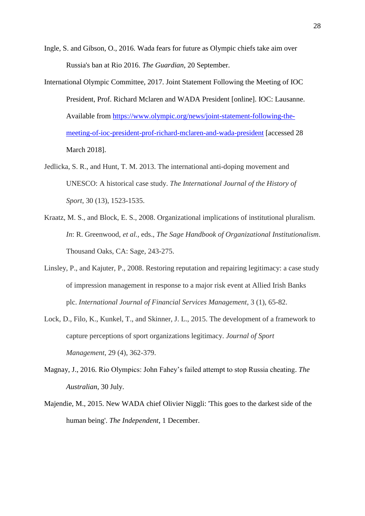Ingle, S. and Gibson, O., 2016. Wada fears for future as Olympic chiefs take aim over Russia's ban at Rio 2016. *The Guardian*, 20 September.

- International Olympic Committee, 2017. Joint Statement Following the Meeting of IOC President, Prof. Richard Mclaren and WADA President [online]. IOC: Lausanne. Available from [https://www.olympic.org/news/joint-statement-following-the](https://www.olympic.org/news/joint-statement-following-the-meeting-of-ioc-president-prof-richard-mclaren-and-wada-president)[meeting-of-ioc-president-prof-richard-mclaren-and-wada-president](https://www.olympic.org/news/joint-statement-following-the-meeting-of-ioc-president-prof-richard-mclaren-and-wada-president) [accessed 28 March 2018].
- Jedlicka, S. R., and Hunt, T. M. 2013. The international anti-doping movement and UNESCO: A historical case study. *The International Journal of the History of Sport*, 30 (13), 1523-1535.
- Kraatz, M. S., and Block, E. S., 2008. Organizational implications of institutional pluralism. *In*: R. Greenwood, *et al.,* eds., *The Sage Handbook of Organizational Institutionalism*. Thousand Oaks, CA: Sage, 243-275.
- Linsley, P., and Kajuter, P., 2008. Restoring reputation and repairing legitimacy: a case study of impression management in response to a major risk event at Allied Irish Banks plc. *International Journal of Financial Services Management*, 3 (1), 65-82.
- Lock, D., Filo, K., Kunkel, T., and Skinner, J. L., 2015. The development of a framework to capture perceptions of sport organizations legitimacy. *Journal of Sport Management*, 29 (4), 362-379.
- Magnay, J., 2016. Rio Olympics: John Fahey's failed attempt to stop Russia cheating. *The Australian*, 30 July.
- Majendie, M., 2015. New WADA chief Olivier Niggli: 'This goes to the darkest side of the human being'. *The Independent*, 1 December.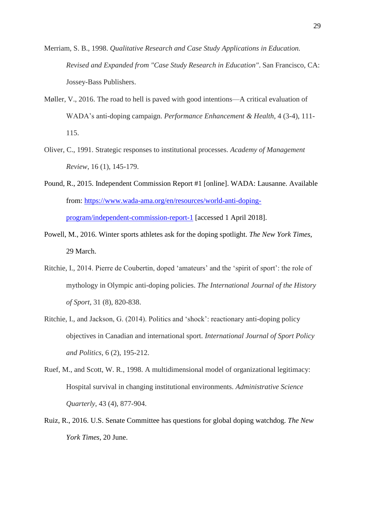- Merriam, S. B., 1998. *Qualitative Research and Case Study Applications in Education. Revised and Expanded from "Case Study Research in Education"*. San Francisco, CA: Jossey-Bass Publishers.
- Møller, V., 2016. The road to hell is paved with good intentions—A critical evaluation of WADA's anti-doping campaign. *Performance Enhancement & Health*, 4 (3-4), 111- 115.
- Oliver, C., 1991. Strategic responses to institutional processes. *Academy of Management Review*, 16 (1), 145-179.
- Pound, R., 2015. Independent Commission Report #1 [online]. WADA: Lausanne. Available from: [https://www.wada-ama.org/en/resources/world-anti-doping](https://www.wada-ama.org/en/resources/world-anti-doping-program/independent-commission-report-1)[program/independent-commission-report-1](https://www.wada-ama.org/en/resources/world-anti-doping-program/independent-commission-report-1) [accessed 1 April 2018].
- Powell, M., 2016. Winter sports athletes ask for the doping spotlight. *The New York Times*, 29 March.
- Ritchie, I., 2014. Pierre de Coubertin, doped 'amateurs' and the 'spirit of sport': the role of mythology in Olympic anti-doping policies. *The International Journal of the History of Sport*, 31 (8), 820-838.
- Ritchie, I., and Jackson, G. (2014). Politics and 'shock': reactionary anti-doping policy objectives in Canadian and international sport. *International Journal of Sport Policy and Politics*, 6 (2), 195-212.
- Ruef, M., and Scott, W. R., 1998. A multidimensional model of organizational legitimacy: Hospital survival in changing institutional environments. *Administrative Science Quarterly*, 43 (4), 877-904.
- Ruiz, R., 2016. U.S. Senate Committee has questions for global doping watchdog. *The New York Times*, 20 June.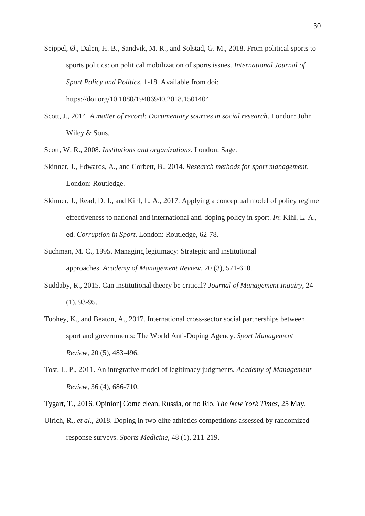Seippel, Ø., Dalen, H. B., Sandvik, M. R., and Solstad, G. M., 2018. From political sports to sports politics: on political mobilization of sports issues. *International Journal of Sport Policy and Politics*, 1-18. Available from doi: https://doi.org/10.1080/19406940.2018.1501404

Scott, J., 2014. *A matter of record: Documentary sources in social research*. London: John Wiley & Sons.

Scott, W. R., 2008. *Institutions and organizations*. London: Sage.

- Skinner, J., Edwards, A., and Corbett, B., 2014. *Research methods for sport management*. London: Routledge.
- Skinner, J., Read, D. J., and Kihl, L. A., 2017. Applying a conceptual model of policy regime effectiveness to national and international anti-doping policy in sport. *In*: Kihl, L. A., ed. *Corruption in Sport*. London: Routledge, 62-78.
- Suchman, M. C., 1995. Managing legitimacy: Strategic and institutional approaches. *Academy of Management Review*, 20 (3), 571-610.
- Suddaby, R., 2015. Can institutional theory be critical? *Journal of Management Inquiry*, 24 (1), 93-95.
- Toohey, K., and Beaton, A., 2017. International cross-sector social partnerships between sport and governments: The World Anti-Doping Agency. *Sport Management Review*, 20 (5), 483-496.
- Tost, L. P., 2011. An integrative model of legitimacy judgments. *Academy of Management Review*, 36 (4), 686-710.

Tygart, T., 2016. Opinion| Come clean, Russia, or no Rio. *The New York Times*, 25 May.

Ulrich, R., *et al*., 2018. Doping in two elite athletics competitions assessed by randomizedresponse surveys. *Sports Medicine*, 48 (1), 211-219.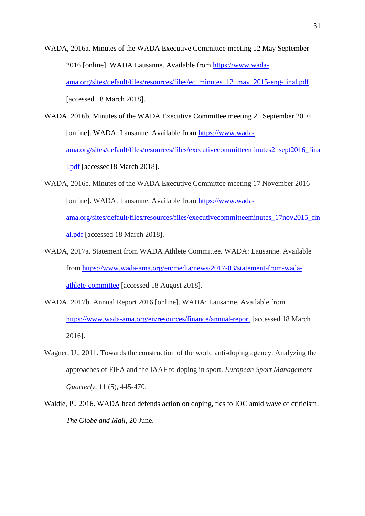WADA, 2016a. Minutes of the WADA Executive Committee meeting 12 May September 2016 [online]. WADA Lausanne. Available from [https://www.wada](https://www.wada-ama.org/sites/default/files/resources/files/ec_minutes_12_may_2015-eng-final.pdf)[ama.org/sites/default/files/resources/files/ec\\_minutes\\_12\\_may\\_2015-eng-final.pdf](https://www.wada-ama.org/sites/default/files/resources/files/ec_minutes_12_may_2015-eng-final.pdf) [accessed 18 March 2018].

WADA, 2016b. Minutes of the WADA Executive Committee meeting 21 September 2016 [online]. WADA: Lausanne. Available from [https://www.wada](https://www.wada-ama.org/sites/default/files/resources/files/executivecommitteeminutes21sept2016_final.pdf)[ama.org/sites/default/files/resources/files/executivecommitteeminutes21sept2016\\_fina](https://www.wada-ama.org/sites/default/files/resources/files/executivecommitteeminutes21sept2016_final.pdf) [l.pdf](https://www.wada-ama.org/sites/default/files/resources/files/executivecommitteeminutes21sept2016_final.pdf) [accessed18 March 2018].

WADA, 2016c. Minutes of the WADA Executive Committee meeting 17 November 2016 [online]. WADA: Lausanne. Available from [https://www.wada](https://www.wada-ama.org/sites/default/files/resources/files/executivecommitteeminutes_17nov2015_final.pdf)[ama.org/sites/default/files/resources/files/executivecommitteeminutes\\_17nov2015\\_fin](https://www.wada-ama.org/sites/default/files/resources/files/executivecommitteeminutes_17nov2015_final.pdf) [al.pdf](https://www.wada-ama.org/sites/default/files/resources/files/executivecommitteeminutes_17nov2015_final.pdf) [accessed 18 March 2018].

- WADA, 2017a. Statement from WADA Athlete Committee. WADA: Lausanne. Available from [https://www.wada-ama.org/en/media/news/2017-03/statement-from-wada](https://www.wada-ama.org/en/media/news/2017-03/statement-from-wada-athlete-committee)[athlete-committee](https://www.wada-ama.org/en/media/news/2017-03/statement-from-wada-athlete-committee) [accessed 18 August 2018].
- WADA, 2017**b**. Annual Report 2016 [online]. WADA: Lausanne. Available from <https://www.wada-ama.org/en/resources/finance/annual-report> [accessed 18 March 2016].
- Wagner, U., 2011. Towards the construction of the world anti-doping agency: Analyzing the approaches of FIFA and the IAAF to doping in sport. *European Sport Management Quarterly*, 11 (5), 445-470.
- Waldie, P., 2016. WADA head defends action on doping, ties to IOC amid wave of criticism. *The Globe and Mail*, 20 June.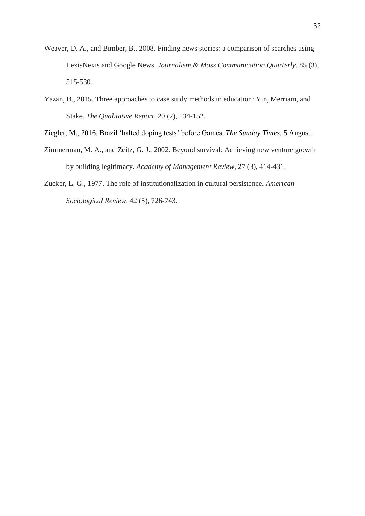- Weaver, D. A., and Bimber, B., 2008. Finding news stories: a comparison of searches using LexisNexis and Google News. *Journalism & Mass Communication Quarterly*, 85 (3), 515-530.
- Yazan, B., 2015. Three approaches to case study methods in education: Yin, Merriam, and Stake. *The Qualitative Report*, 20 (2), 134-152.
- Ziegler, M., 2016. Brazil 'halted doping tests' before Games. *The Sunday Times*, 5 August.
- Zimmerman, M. A., and Zeitz, G. J., 2002. Beyond survival: Achieving new venture growth by building legitimacy. *Academy of Management Review*, 27 (3), 414-431.
- Zucker, L. G., 1977. The role of institutionalization in cultural persistence. *American Sociological Review*, 42 (5), 726-743.